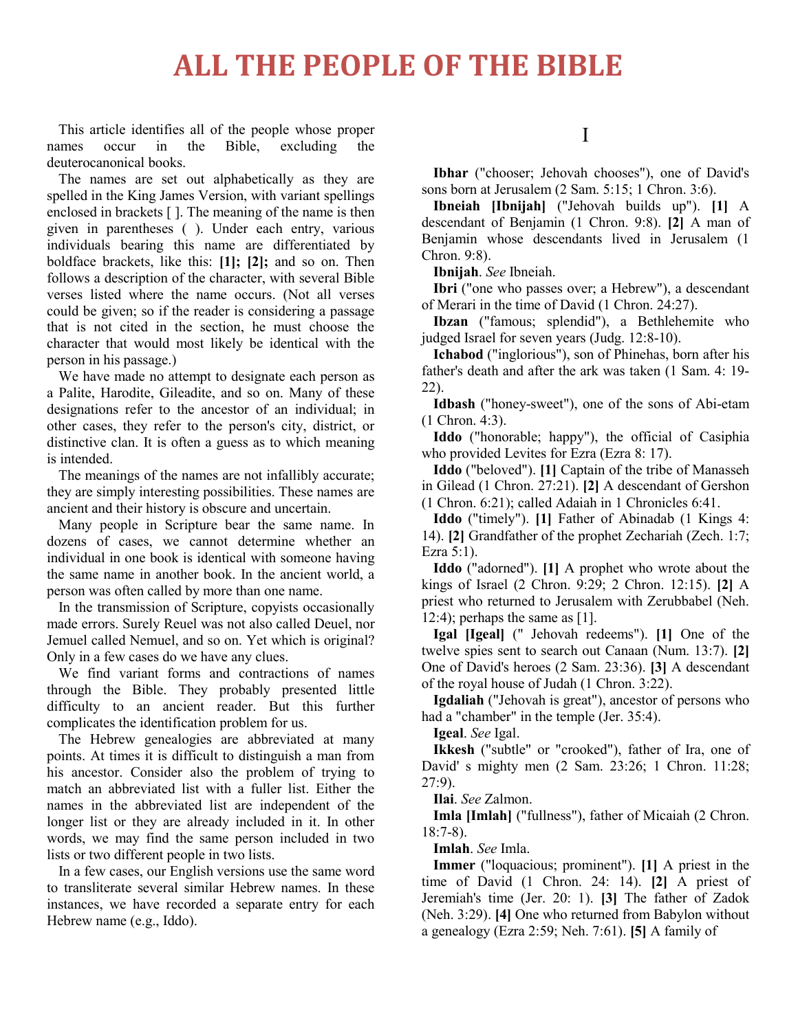## **ALL THE PEOPLE OF THE BIBLE**

This article identifies all of the people whose proper names occur in the Bible, excluding the deuterocanonical books.

The names are set out alphabetically as they are spelled in the King James Version, with variant spellings enclosed in brackets [ ]. The meaning of the name is then given in parentheses ( ). Under each entry, various individuals bearing this name are differentiated by boldface brackets, like this: **[1]; [2];** and so on. Then follows a description of the character, with several Bible verses listed where the name occurs. (Not all verses could be given; so if the reader is considering a passage that is not cited in the section, he must choose the character that would most likely be identical with the person in his passage.)

We have made no attempt to designate each person as a Palite, Harodite, Gileadite, and so on. Many of these designations refer to the ancestor of an individual; in other cases, they refer to the person's city, district, or distinctive clan. It is often a guess as to which meaning is intended.

The meanings of the names are not infallibly accurate; they are simply interesting possibilities. These names are ancient and their history is obscure and uncertain.

Many people in Scripture bear the same name. In dozens of cases, we cannot determine whether an individual in one book is identical with someone having the same name in another book. In the ancient world, a person was often called by more than one name.

In the transmission of Scripture, copyists occasionally made errors. Surely Reuel was not also called Deuel, nor Jemuel called Nemuel, and so on. Yet which is original? Only in a few cases do we have any clues.

We find variant forms and contractions of names through the Bible. They probably presented little difficulty to an ancient reader. But this further complicates the identification problem for us.

The Hebrew genealogies are abbreviated at many points. At times it is difficult to distinguish a man from his ancestor. Consider also the problem of trying to match an abbreviated list with a fuller list. Either the names in the abbreviated list are independent of the longer list or they are already included in it. In other words, we may find the same person included in two lists or two different people in two lists.

In a few cases, our English versions use the same word to transliterate several similar Hebrew names. In these instances, we have recorded a separate entry for each Hebrew name (e.g., Iddo).

I

**Ibhar** ("chooser; Jehovah chooses"), one of David's sons born at Jerusalem (2 Sam. 5:15; 1 Chron. 3:6).

**Ibneiah [Ibnijah]** ("Jehovah builds up"). **[1]** A descendant of Benjamin (1 Chron. 9:8). **[2]** A man of Benjamin whose descendants lived in Jerusalem (1 Chron. 9:8).

**Ibnijah**. *See* Ibneiah.

**Ibri** ("one who passes over; a Hebrew"), a descendant of Merari in the time of David (1 Chron. 24:27).

**Ibzan** ("famous; splendid"), a Bethlehemite who judged Israel for seven years (Judg. 12:8-10).

**Ichabod** ("inglorious"), son of Phinehas, born after his father's death and after the ark was taken (1 Sam. 4: 19- 22).

**Idbash** ("honey-sweet"), one of the sons of Abi-etam (1 Chron. 4:3).

**Iddo** ("honorable; happy"), the official of Casiphia who provided Levites for Ezra (Ezra 8: 17).

**Iddo** ("beloved"). **[1]** Captain of the tribe of Manasseh in Gilead (1 Chron. 27:21). **[2]** A descendant of Gershon (1 Chron. 6:21); called Adaiah in 1 Chronicles 6:41.

**Iddo** ("timely"). **[1]** Father of Abinadab (1 Kings 4: 14). **[2]** Grandfather of the prophet Zechariah (Zech. 1:7; Ezra 5:1).

**Iddo** ("adorned"). **[1]** A prophet who wrote about the kings of Israel (2 Chron. 9:29; 2 Chron. 12:15). **[2]** A priest who returned to Jerusalem with Zerubbabel (Neh. 12:4); perhaps the same as  $[1]$ .

**Igal [Igeal]** (" Jehovah redeems"). **[1]** One of the twelve spies sent to search out Canaan (Num. 13:7). **[2]** One of David's heroes (2 Sam. 23:36). **[3]** A descendant of the royal house of Judah (1 Chron. 3:22).

**Igdaliah** ("Jehovah is great"), ancestor of persons who had a "chamber" in the temple (Jer. 35:4).

**Igeal**. *See* Igal.

**Ikkesh** ("subtle" or "crooked"), father of Ira, one of David' s mighty men (2 Sam. 23:26; 1 Chron. 11:28; 27:9).

**Ilai**. *See* Zalmon.

**Imla [Imlah]** ("fullness"), father of Micaiah (2 Chron. 18:7-8).

**Imlah**. *See* Imla.

**Immer** ("loquacious; prominent"). **[1]** A priest in the time of David (1 Chron. 24: 14). **[2]** A priest of Jeremiah's time (Jer. 20: 1). **[3]** The father of Zadok (Neh. 3:29). **[4]** One who returned from Babylon without a genealogy (Ezra 2:59; Neh. 7:61). **[5]** A family of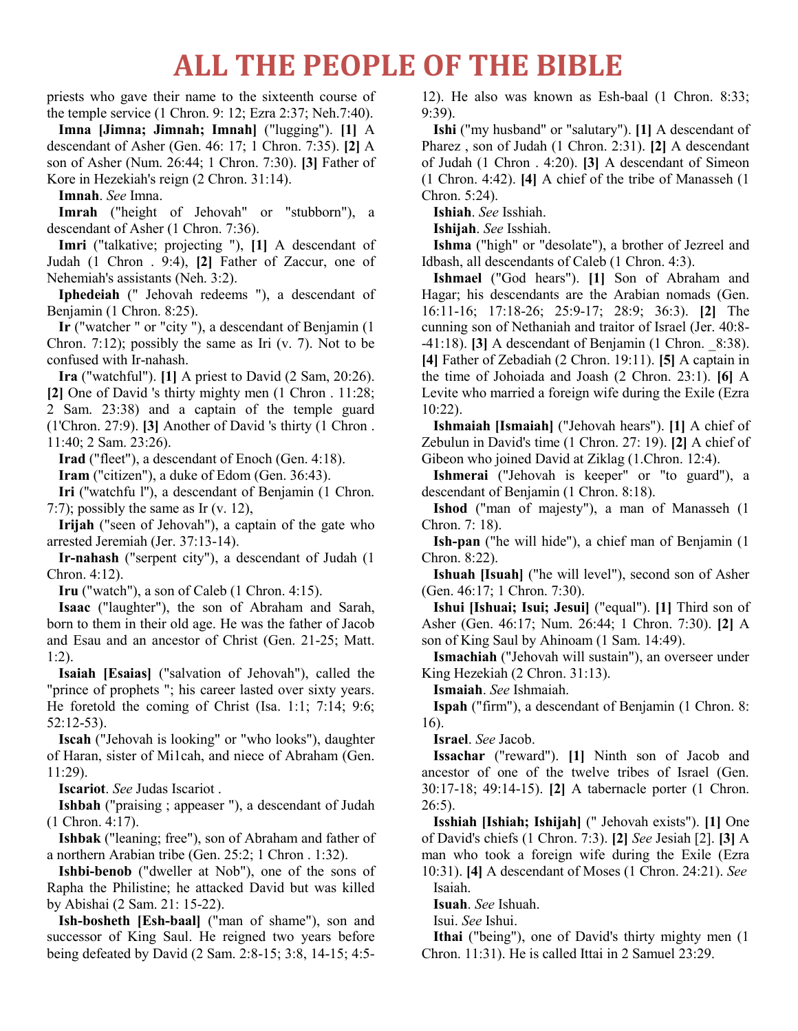## **ALL THE PEOPLE OF THE BIBLE**

priests who gave their name to the sixteenth course of the temple service (1 Chron. 9: 12; Ezra 2:37; Neh.7:40).

**Imna [Jimna; Jimnah; Imnah]** ("lugging"). **[1]** A descendant of Asher (Gen. 46: 17; 1 Chron. 7:35). **[2]** A son of Asher (Num. 26:44; 1 Chron. 7:30). **[3]** Father of Kore in Hezekiah's reign (2 Chron. 31:14).

**Imnah**. *See* Imna.

**Imrah** ("height of Jehovah" or "stubborn"), a descendant of Asher (1 Chron. 7:36).

**Imri** ("talkative; projecting "), **[1]** A descendant of Judah (1 Chron . 9:4), **[2]** Father of Zaccur, one of Nehemiah's assistants (Neh. 3:2).

**Iphedeiah** (" Jehovah redeems "), a descendant of Benjamin (1 Chron. 8:25).

**Ir** ("watcher " or "city "), a descendant of Benjamin (1 Chron. 7:12); possibly the same as Iri  $(v, 7)$ . Not to be confused with Ir-nahash.

**Ira** ("watchful"). **[1]** A priest to David (2 Sam, 20:26). **[2]** One of David 's thirty mighty men (1 Chron . 11:28; 2 Sam. 23:38) and a captain of the temple guard (1'Chron. 27:9). **[3]** Another of David 's thirty (1 Chron . 11:40; 2 Sam. 23:26).

**Irad** ("fleet"), a descendant of Enoch (Gen. 4:18).

**Iram** ("citizen"), a duke of Edom (Gen. 36:43).

**Iri** (''watchfu l''), a descendant of Benjamin (1 Chron. 7:7); possibly the same as Ir (v. 12),

**Irijah** ("seen of Jehovah"), a captain of the gate who arrested Jeremiah (Jer. 37:13-14).

**Ir-nahash** ("serpent city"), a descendant of Judah (1 Chron. 4:12).

**Iru** ("watch"), a son of Caleb (1 Chron. 4:15).

**Isaac** ("laughter"), the son of Abraham and Sarah, born to them in their old age. He was the father of Jacob and Esau and an ancestor of Christ (Gen. 21-25; Matt. 1:2).

**Isaiah [Esaias]** ("salvation of Jehovah"), called the "prince of prophets "; his career lasted over sixty years. He foretold the coming of Christ (Isa. 1:1; 7:14; 9:6; 52:12-53).

**Iscah** ("Jehovah is looking" or "who looks"), daughter of Haran, sister of Mi1cah, and niece of Abraham (Gen. 11:29).

**Iscariot**. *See* Judas Iscariot .

**Ishbah** ("praising ; appeaser "), a descendant of Judah (1 Chron. 4:17).

**Ishbak** ("leaning; free"), son of Abraham and father of a northern Arabian tribe (Gen. 25:2; 1 Chron . 1:32).

**Ishbi-benob** ("dweller at Nob"), one of the sons of Rapha the Philistine; he attacked David but was killed by Abishai (2 Sam. 21: 15-22).

**Ish-bosheth [Esh-baal]** ("man of shame"), son and successor of King Saul. He reigned two years before being defeated by David (2 Sam. 2:8-15; 3:8, 14-15; 4:512). He also was known as Esh-baal (1 Chron. 8:33; 9:39).

**Ishi** ("my husband" or "salutary"). **[1]** A descendant of Pharez , son of Judah (1 Chron. 2:31). **[2]** A descendant of Judah (1 Chron . 4:20). **[3]** A descendant of Simeon (1 Chron. 4:42). **[4]** A chief of the tribe of Manasseh (1 Chron. 5:24).

**Ishiah**. *See* Isshiah.

**Ishijah**. *See* Isshiah.

**Ishma** ("high" or "desolate"), a brother of Jezreel and Idbash, all descendants of Caleb (1 Chron. 4:3).

**Ishmael** ("God hears"). **[1]** Son of Abraham and Hagar; his descendants are the Arabian nomads (Gen. 16:11-16; 17:18-26; 25:9-17; 28:9; 36:3). **[2]** The cunning son of Nethaniah and traitor of Israel (Jer. 40:8- -41:18). **[3]** A descendant of Benjamin (1 Chron. \_8:38). **[4]** Father of Zebadiah (2 Chron. 19:11). **[5]** A captain in the time of Johoiada and Joash (2 Chron. 23:1). **[6]** A Levite who married a foreign wife during the Exile (Ezra 10:22).

**Ishmaiah [Ismaiah]** ("Jehovah hears"). **[1]** A chief of Zebulun in David's time (1 Chron. 27: 19). **[2]** A chief of Gibeon who joined David at Ziklag (1.Chron. 12:4).

**Ishmerai** ("Jehovah is keeper" or "to guard"), a descendant of Benjamin (1 Chron. 8:18).

**Ishod** ("man of majesty"), a man of Manasseh (1 Chron. 7: 18).

**Ish-pan** ("he will hide"), a chief man of Benjamin (1 Chron. 8:22).

**Ishuah [Isuah]** ("he will level"), second son of Asher (Gen. 46:17; 1 Chron. 7:30).

**Ishui [Ishuai; Isui; Jesui]** ("equal"). **[1]** Third son of Asher (Gen. 46:17; Num. 26:44; 1 Chron. 7:30). **[2]** A son of King Saul by Ahinoam (1 Sam. 14:49).

**Ismachiah** ("Jehovah will sustain"), an overseer under King Hezekiah (2 Chron. 31:13).

**Ismaiah**. *See* Ishmaiah.

**Ispah** ("firm"), a descendant of Benjamin (1 Chron. 8: 16).

**Israel**. *See* Jacob.

**Issachar** ("reward"). **[1]** Ninth son of Jacob and ancestor of one of the twelve tribes of Israel (Gen. 30:17-18; 49:14-15). **[2]** A tabernacle porter (1 Chron.  $26:5$ ).

**Isshiah [Ishiah; Ishijah]** (" Jehovah exists"). **[1]** One of David's chiefs (1 Chron. 7:3). **[2]** *See* Jesiah [2]. **[3]** A man who took a foreign wife during the Exile (Ezra 10:31). **[4]** A descendant of Moses (1 Chron. 24:21). *See* Isaiah.

**Isuah**. *See* Ishuah.

Isui. *See* Ishui.

**Ithai** ("being"), one of David's thirty mighty men (1 Chron. 11:31). He is called Ittai in 2 Samuel 23:29.